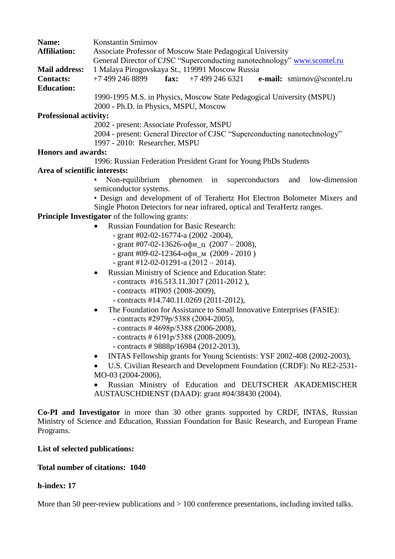| Name:<br><b>Affiliation:</b>  | Konstantin Smirnov<br>Associate Professor of Moscow State Pedagogical University     |
|-------------------------------|--------------------------------------------------------------------------------------|
|                               | General Director of CJSC "Superconducting nanotechnology" www.scontel.ru             |
| <b>Mail address:</b>          | 1 Malaya Pirogovskaya St., 119991 Moscow Russia                                      |
| <b>Contacts:</b>              | +7 499 246 6321<br>+7 499 246 8899<br>fax:<br>e-mail: smirnov@scontel.ru             |
| <b>Education:</b>             |                                                                                      |
|                               | 1990-1995 M.S. in Physics, Moscow State Pedagogical University (MSPU)                |
|                               | 2000 - Ph.D. in Physics, MSPU, Moscow                                                |
| <b>Professional activity:</b> |                                                                                      |
|                               | 2002 - present: Associate Professor, MSPU                                            |
|                               | 2004 - present: General Director of CJSC "Superconducting nanotechnology"            |
|                               | 1997 - 2010: Researcher, MSPU                                                        |
| <b>Honors and awards:</b>     |                                                                                      |
|                               | 1996: Russian Federation President Grant for Young PhDs Students                     |
| Area of scientific interests: |                                                                                      |
|                               | Non-equilibrium<br>phenomen in<br>superconductors<br>and<br>low-dimension            |
|                               | semiconductor systems.                                                               |
|                               | • Design and development of of Terahertz Hot Electron Bolometer Mixers and           |
|                               | Single Photon Detectors for near infrared, optical and TeraHertz ranges.             |
|                               | Principle Investigator of the following grants:                                      |
|                               | Russian Foundation for Basic Research:                                               |
|                               | - grant #02-02-16774-a $(2002 - 2004)$ ,                                             |
|                               | - grant #07-02-13626-офи_ц $(2007 - 2008)$ ,                                         |
|                               | - grant #09-02-12364-офи_м (2009 - 2010)                                             |
|                               | - grant #12-02-01291-a $(2012 - 2014)$ .                                             |
|                               |                                                                                      |
|                               | Russian Ministry of Science and Education State:<br>$\bullet$                        |
|                               | - contracts #16.513.11.3017 (2011-2012),                                             |
|                               | - contracts # $\Pi$ 905 (2008-2009),                                                 |
|                               | - contracts #14.740.11.0269 (2011-2012),                                             |
|                               | The Foundation for Assistance to Small Innovative Enterprises (FASIE):<br>$\bullet$  |
|                               | - contracts #2979p/5388 (2004-2005),                                                 |
|                               | - contracts # $4698p/5388$ (2006-2008),                                              |
|                               | - contracts # $6191p/5388$ (2008-2009),                                              |
|                               | - contracts # $9888p/16984$ (2012-2013),                                             |
|                               | INTAS Fellowship grants for Young Scientists: YSF 2002-408 (2002-2003),<br>$\bullet$ |
|                               | U.S. Civilian Research and Development Foundation (CRDF): No RE2-2531-<br>$\bullet$  |

MO-03 (2004-2006),

 Russian Ministry of Education and DEUTSCHER AKADEMISCHER AUSTAUSCHDIENST (DAAD): grant #04/38430 (2004).

**Co-PI and Investigator** in more than 30 other grants supported by CRDF, INTAS, Russian Ministry of Science and Education, Russian Foundation for Basic Research, and European Frame Programs.

### **List of selected publications:**

#### **Total number of citations: 1040**

## **h-index: 17**

More than 50 peer-review publications and  $> 100$  conference presentations, including invited talks.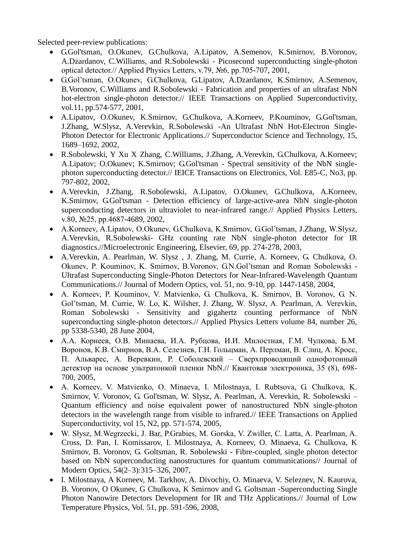Selected peer-review publications:

- G.Gol'tsman, O.Okunev, G.Chulkova, A.Lipatov, A.Semenov, K.Smirnov, B.Voronov, A.Dzardanov, C.Williams, and R.Sobolewski - Picosecond superconducting single-photon optical detector.// Applied Physics Letters, v.79, №6, pp.705-707, 2001,
- G.Gol'tsman, O.Okunev, G.Chulkova, G.Lipatov, A.Dzardanov, K.Smirnov, A.Semenov, B.Voronov, C.Williams and R.Sobolewski - Fabrication and properties of an ultrafast NbN hot-electron single-photon detector.// IEEE Transactions on Applied Superconductivity, vol.11, pp.574-577, 2001,
- A.Lipatov, O.Okunev, K.Smirnov, G.Chulkova, A.Korneev, P.Kouminov, G.Gol'tsman, J.Zhang, W.Slysz, A.Verevkin, R.Sobolewski -An Ultrafast NbN Hot-Electron Single-Photon Detector for Electronic Applications.// Superconductor Science and Technology, 15, 1689–1692, 2002,
- R.Sobolewski, Y Xu X Zhang, C.Williams, J.Zhang, A.Verevkin, G.Chulkova, A.Korneev; A.Lipatov; O.Okunev; K.Smirnov; G.Gol'tsman - Spectral sensitivity of the NbN singlephoton superconducting detector.// IEICE Transactions on Electronics, Vol. E85-C, No3, pp. 797-802, 2002,
- A.Verevkin, J.Zhang, R.Sobolewski, A.Lipatov, O.Okunev, G.Chulkova, A.Korneev, K.Smirnov, G.Gol'tsman - Detection efficiency of large-active-area NbN single-photon superconducting detectors in ultraviolet to near-infrared range.// Applied Physics Letters, v.80, №25, pp.4687-4689, 2002,
- A.Korneev, A.Lipatov, O.Okunev, G.Chulkova, K.Smirnov, G.Gol'tsman, J.Zhang, W.Slysz, A.Verevkin, R.Sobolewski- GHz counting rate NbN single-photon detector for IR diagnostics.//Microelectronic Engineering, Elsevier, 69, pp. 274-278, 2003,
- A.Verevkin, A. Pearlman, W. Slysz , J. Zhang, M. Currie, A. Korneev, G. Chulkova, O. Okunev, P. Kouminov, K. Smirnov, B.Voronov, G.N.Gol'tsman and Roman Sobolewski - Ultrafast Superconducting Single-Photon Detectors for Near-Infrared-Wavelength Quantum Communications.// Journal of Modern Optics, vol. 51, no. 9-10, pp. 1447-1458, 2004,
- А. Korneev, P. Kouminov, V. Matvienko, G. Chulkova, K. Smirnov, B. Voronov, G. N. Gol'tsman, M. Currie, W. Lo, K. Wilsher, J. Zhang, W. Slysz, A. Pearlman, A. Verevkin, Roman Sobolewski - Sensitivity and gigahertz counting performance of NbN superconducting single-photon detectors.// Applied Physics Letters volume 84, number 26, pp 5338-5340, 28 June 2004,
- А.А. Корнеев, О.В. Минаева, И.А. Рубцова, И.И. Милостная, Г.М. Чулкова, Б.М. Воронов, К.В. Смирнов, В.А. Селезнев, Г.Н. Гольцман, А. Перлман, В. Слиц, А. Кросс, П. Альварес, А. Веревкин, Р. Соболевский – Сверхпроводящий однофотонный детектор на основе ультратонкой пленки NbN.// Квантовая электроника, 35 (8), 698- 700, 2005,
- А. Korneev, V. Matvienko, O. Minaeva, I. Milostnaya, I. Rubtsova, G. Chulkova, K. Smirnov, V. Voronov, G. Gol'tsman, W. Slysz, A. Pearlman, A. Verevkin, R. Sobolewski – Quantum efficiency and noise equivalent power of nanostructured NbN single-photon detectors in the wavelength range from visible to infrared.// IEEE Transactions on Applied Superconductivity, vol 15, N2, pp. 571-574, 2005,
- W. Słysz, M.Wegrzecki, J. Bar, P.Grabies, M. Gorska, V. Zwiller, C. Latta, A. Pearlman, A. Cross, D. Pan, I. Komissarov, I. Milostnaya, A. Korneev, O. Minaeva, G. Chulkova, K Smirnov, B. Voronov, G. Goltsman, R. Sobolewski - Fibre-coupled, single photon detector based on NbN superconducting nanostructures for quantum communications// Journal of Modern Optics, 54(2–3):315–326, 2007,
- I. Milostnaya, A Korneev, M. Tarkhov, A. Divochiy, O. Minaeva, V. Seleznev, N. Kaurova, B. Voronov, O Okunev, G Chulkova, K Smirnov and G. Goltsman -Superconducting Single Photon Nanowire Detectors Development for IR and THz Applications.// Journal of Low Temperature Physics, Vol. 51, pp. 591-596, 2008,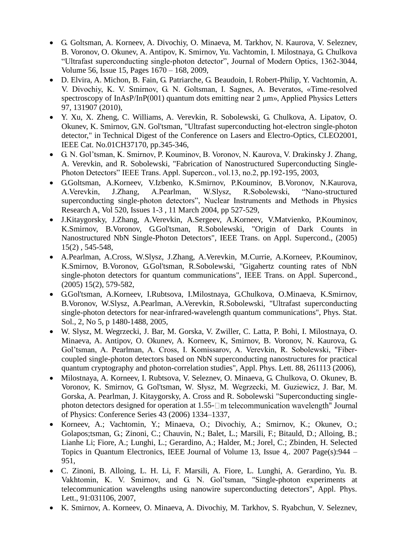- G. Goltsman, A. Korneev, A. Divochiy, O. Minaeva, M. Tarkhov, N. Kaurova, V. Seleznev, B. Voronov, O. Okunev, A. Antipov, K. Smirnov, Yu. Vachtomin, I. Milostnaya, G. Chulkova "Ultrafast superconducting single-photon detector", Journal of Modern Optics, 1362-3044, Volume 56, Issue 15, Pages 1670 – 168, 2009,
- D. Elvira, A. Michon, B. Fain, G. Patriarche, G. Beaudoin, I. Robert-Philip, Y. Vachtomin, A. V. Divochiy, K. V. Smirnov, G. N. Goltsman, I. Sagnes, A. Beveratos, «Time-resolved spectroscopy of InAsP/InP(001) quantum dots emitting near 2 μm», Applied Physics Letters 97, 131907 (2010),
- Y. Xu, X. Zheng, C. Williams, A. Verevkin, R. Sobolewski, G. Chulkova, A. Lipatov, O. Okunev, K. Smirnov, G.N. Gol'tsman, "Ultrafast superconducting hot-electron single-photon detector," in Technical Digest of the Conference on Lasers and Electro-Optics, CLEO2001, IEEE Cat. No.01CH37170, pp.345-346,
- G. N. Gol'tsman, K. Smirnov, P. Kouminov, B. Voronov, N. Kaurova, V. Drakinsky J. Zhang, A. Verevkin, and R. Sobolewski, "Fabrication of Nanostructured Superconducting Single-Photon Detectors" IEEE Trans. Appl. Supercon., vol.13, no.2, pp.192-195, 2003,
- G.Goltsman, A.Korneev, V.Izbenko, K.Smirnov, P.Kouminov, B.Voronov, N.Kaurova, A.Verevkin, J.Zhang, A.Pearlman, W.Slysz, R.Sobolewski, "Nano-structured superconducting single-photon detectors", Nuclear Instruments and Methods in Physics Research A, Vol 520, Issues 1-3 , 11 March 2004, pp 527-529,
- J.Kitaygorsky, J.Zhang, A.Verevkin, A.Sergeev, A.Korneev, V.Matvienko, P.Kouminov, K.Smirnov, B.Voronov, G.Gol'tsman, R.Sobolewski, "Origin of Dark Counts in Nanostructured NbN Single-Photon Detectors", IEEE Trans. on Appl. Supercond., (2005) 15(2) , 545-548,
- A.Pearlman, A.Cross, W.Slysz, J.Zhang, A.Verevkin, M.Currie, A.Korneev, P.Kouminov, K.Smirnov, B.Voronov, G.Gol'tsman, R.Sobolewski, "Gigahertz counting rates of NbN single-photon detectors for quantum communications", IEEE Trans. on Appl. Supercond., (2005) 15(2), 579-582,
- G.Gol'tsman, A.Korneev, I.Rubtsova, I.Milostnaya, G.Chulkova, O.Minaeva, K.Smirnov, B.Voronov, W.Slysz, A.Pearlman, A.Verevkin, R.Sobolewski, "Ultrafast superconducting single-photon detectors for near-infrared-wavelength quantum communications", Phys. Stat. Sol., 2, No 5, p 1480-1488, 2005,
- W. Slysz, M. Wegrzecki, J. Bar, M. Gorska, V. Zwiller, C. Latta, P. Bohi, I. Milostnaya, O. Minaeva, A. Antipov, O. Okunev, A. Korneev, K, Smirnov, B. Voronov, N. Kaurova, G. Gol'tsman, A. Pearlman, A. Cross, I. Komissarov, A. Verevkin, R. Sobolewski, "Fibercoupled single-photon detectors based on NbN superconducting nanostructures for practical quantum cryptography and photon-correlation studies", Appl. Phys. Lett. 88, 261113 (2006),
- Milostnaya, A. Korneev, I. Rubtsova, V. Seleznev, O. Minaeva, G. Chulkova, O. Okunev, B. Voronov, K. Smirnov, G. Gol'tsman, W. Słysz, M. Wegrzecki, M. Guziewicz, J. Bar, M. Gorska, A. Pearlman, J. Kitaygorsky, A. Cross and R. Sobolewski "Superconducting singlephoton detectors designed for operation at 1.55−□m telecommunication wavelength" Journal of Physics: Conference Series 43 (2006) 1334–1337,
- Korneev, A.; Vachtomin, Y.; Minaeva, O.; Divochiy, A.; Smirnov, K.; Okunev, O.; Golapos;tsman, G.; Zinoni, C.; Chauvin, N.; Balet, L.; Marsili, F.; Bitauld, D.; Alloing, B.; Lianhe Li; Fiore, A.; Lunghi, L.; Gerardino, A.; Halder, M.; Jorel, C.; Zbinden, H. Selected Topics in Quantum Electronics, IEEE Journal of Volume 13, Issue 4,. 2007 Page(s):944 – 951,
- C. Zinoni, B. Alloing, L. H. Li, F. Marsili, A. Fiore, L. Lunghi, A. Gerardino, Yu. B. Vakhtomin, K. V. Smirnov, and G. N. Gol'tsman, "Single-photon experiments at telecommunication wavelengths using nanowire superconducting detectors", Appl. Phys. Lett., 91:031106, 2007,
- K. Smirnov, A. Korneev, O. Minaeva, A. Divochiy, M. Tarkhov, S. Ryabchun, V. Seleznev,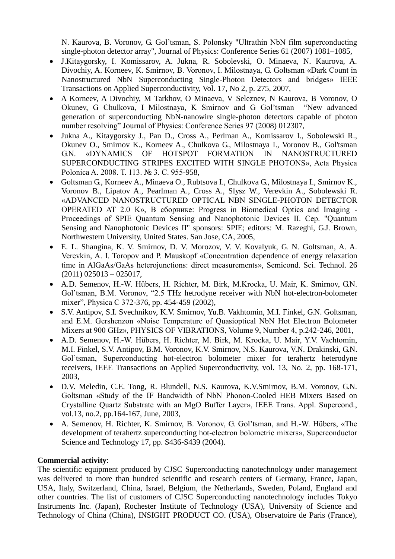N. Kaurova, B. Voronov, G. Gol'tsman, S. Polonsky "Ultrathin NbN film superconducting single-photon detector array", Journal of Physics: Conference Series 61 (2007) 1081–1085,

- J.Kitaygorsky, I. Komissarov, A. Jukna, R. Sobolevski, O. Minaeva, N. Kaurova, A. Divochiy, A. Korneev, K. Smirnov, B. Voronov, I. Milostnaya, G. Goltsman «Dark Count in Nanostructured NbN Superconducting Single-Photon Detectors and bridges» IEEE Transactions on Applied Superconductivity, Vol. 17, No 2, p. 275, 2007,
- A Korneev, A Divochiy, M Tarkhov, O Minaeva, V Seleznev, N Kaurova, B Voronov, O Okunev, G Chulkova, I Milostnaya, K Smirnov and G Gol'tsman "New advanced generation of superconducting NbN-nanowire single-photon detectors capable of photon number resolving" Journal of Physics: Conference Series 97 (2008) 012307,
- Jukna A., Kitaygorsky J., Pan D., Cross A., Perlman A., Komissarov I., Sobolewski R., Okunev O., Smirnov K., Korneev A., Chulkova G., Milostnaya I., Voronov B., Gol'tsman G.N. «DYNAMICS OF HOTSPOT FORMATION IN NANOSTRUCTURED SUPERCONDUCTING STRIPES EXCITED WITH SINGLE PHOTONS», Acta Physica Polonica A. 2008. Т. 113. № 3. С. 955-958,
- Goltsman G., Korneev A., Minaeva O., Rubtsova I., Chulkova G., Milostnaya I., Smirnov K., Voronov B., Lipatov A., Pearlman A., Cross A., Slysz W., Verevkin A., Sobolewski R. «ADVANCED NANOSTRUCTURED OPTICAL NBN SINGLE-PHOTON DETECTOR OPERATED AT 2.0 K», В сборнике: Progress in Biomedical Optics and Imaging - Proceedings of SPIE Quantum Sensing and Nanophotonic Devices II. Сер. "Quantum Sensing and Nanophotonic Devices II" sponsors: SPIE; editors: M. Razeghi, G.J. Brown, Northwestern University, United States. San Jose, CA, 2005,
- E. L. Shangina, K. V. Smirnov, D. V. Morozov, V. V. Kovalyuk, G. N. Goltsman, A. A. Verevkin, A. I. Toropov and P. Mauskopf «Concentration dependence of energy relaxation time in AlGaAs/GaAs heterojunctions: direct measurements», Semicond. Sci. Technol. 26  $(2011)$  025013 – 025017,
- A.D. Semenov, H.-W. Hübers, H. Richter, M. Birk, M.Krocka, U. Mair, K. Smirnov, G.N. Gol'tsman, B.M. Voronov, "2.5 THz hetrodyne receiver with NbN hot-electron-bolometer mixer", Physica C 372-376, pp. 454-459 (2002),
- S.V. Antipov, S.I. Svechnikov, K.V. Smirnov, Yu.B. Vakhtomin, M.I. Finkel, G.N. Goltsman, and E.M. Gershenzon «Noise Temperature of Quasioptical NbN Hot Electron Bolometer Mixers at 900 GHz», PHYSICS OF VIBRATIONS, Volume 9, Number 4, p.242-246, 2001,
- A.D. Semenov, H.-W. Hübers, H. Richter, M. Birk, M. Krocka, U. Mair, Y.V. Vachtomin, M.I. Finkel, S.V. Antipov, B.M. Voronov, K.V. Smirnov, N.S. Kaurova, V.N. Drakinski, G.N. Gol'tsman, Superconducting hot-electron bolometer mixer for terahertz heterodyne receivers, IEEE Transactions on Applied Superconductivity, vol. 13, No. 2, pp. 168-171, 2003,
- D.V. Meledin, C.E. Tong, R. Blundell, N.S. Kaurova, K.V.Smirnov, B.M. Voronov, G.N. Goltsman «Study of the IF Bandwidth of NbN Phonon-Cooled HEB Mixers Based on Crystalline Quartz Substrate with an MgO Buffer Layer», IEEE Trans. Appl. Supercond., vol.13, no.2, pp.164-167, June, 2003,
- A. Semenov, H. Richter, K. Smirnov, B. Voronov, G. Gol'tsman, and H.-W. Hübers, «The development of terahertz superconducting hot-electron bolometric mixers», Superconductor Science and Technology 17, pp. S436-S439 (2004).

# **Commercial activity**:

The scientific equipment produced by CJSC Superconducting nanotechnology under management was delivered to more than hundred scientific and research centers of Germany, France, Japan, USA, Italy, Switzerland, China, Israel, Belgium, the Netherlands, Sweden, Poland, England and other countries. The list of customers of CJSC Superconducting nanotechnology includes Tokyo Instruments Inc. (Japan), Rochester Institute of Technology (USA), University of Science and Technology of China (China), INSIGHT PRODUCT CO. (USA), Observatoire de Paris (France),